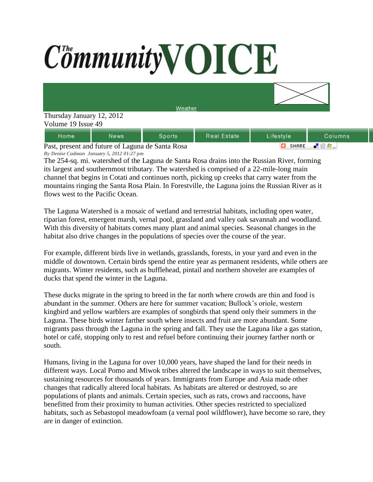## CommunityVOICE



| lome                                            | News | Sports | Real Estate | Lifestyle | Columns |
|-------------------------------------------------|------|--------|-------------|-----------|---------|
| Past present and future of Laguna de Santa Rosa |      |        |             | SHARE.    |         |

Past, present and future of Laguna de Santa Rosa *By Denise Cadman January 5, 2012 01:27 pm*

The 254-sq. mi. watershed of the Laguna de Santa Rosa drains into the Russian River, forming its largest and southernmost tributary. The watershed is comprised of a 22-mile-long main channel that begins in Cotati and continues north, picking up creeks that carry water from the mountains ringing the Santa Rosa Plain. In Forestville, the Laguna joins the Russian River as it flows west to the Pacific Ocean.

The Laguna Watershed is a mosaic of wetland and terrestrial habitats, including open water, riparian forest, emergent marsh, vernal pool, grassland and valley oak savannah and woodland. With this diversity of habitats comes many plant and animal species. Seasonal changes in the habitat also drive changes in the populations of species over the course of the year.

For example, different birds live in wetlands, grasslands, forests, in your yard and even in the middle of downtown. Certain birds spend the entire year as permanent residents, while others are migrants. Winter residents, such as bufflehead, pintail and northern shoveler are examples of ducks that spend the winter in the Laguna.

These ducks migrate in the spring to breed in the far north where crowds are thin and food is abundant in the summer. Others are here for summer vacation; Bullock's oriole, western kingbird and yellow warblers are examples of songbirds that spend only their summers in the Laguna. These birds winter farther south where insects and fruit are more abundant. Some migrants pass through the Laguna in the spring and fall. They use the Laguna like a gas station, hotel or café, stopping only to rest and refuel before continuing their journey farther north or south.

Humans, living in the Laguna for over 10,000 years, have shaped the land for their needs in different ways. Local Pomo and Miwok tribes altered the landscape in ways to suit themselves, sustaining resources for thousands of years. Immigrants from Europe and Asia made other changes that radically altered local habitats. As habitats are altered or destroyed, so are populations of plants and animals. Certain species, such as rats, crows and raccoons, have benefitted from their proximity to human activities. Other species restricted to specialized habitats, such as Sebastopol meadowfoam (a vernal pool wildflower), have become so rare, they are in danger of extinction.